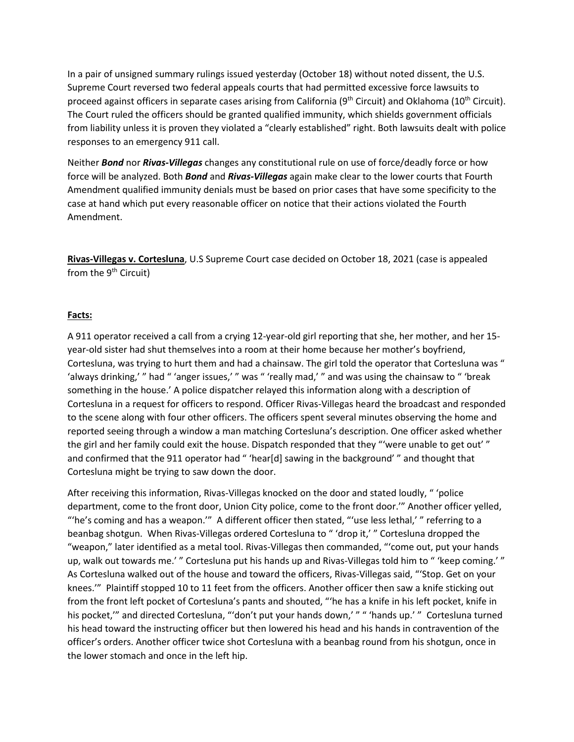In a pair of unsigned summary rulings issued yesterday (October 18) without noted dissent, the U.S. Supreme Court reversed two federal appeals courts that had permitted excessive force lawsuits to proceed against officers in separate cases arising from California (9<sup>th</sup> Circuit) and Oklahoma (10<sup>th</sup> Circuit). The Court ruled the officers should be granted qualified immunity, which shields government officials from liability unless it is proven they violated a "clearly established" right. Both lawsuits dealt with police responses to an emergency 911 call.

Neither *Bond* nor *Rivas-Villegas* changes any constitutional rule on use of force/deadly force or how force will be analyzed. Both *Bond* and *Rivas-Villegas* again make clear to the lower courts that Fourth Amendment qualified immunity denials must be based on prior cases that have some specificity to the case at hand which put every reasonable officer on notice that their actions violated the Fourth Amendment.

**Rivas-Villegas v. Cortesluna**, U.S Supreme Court case decided on October 18, 2021 (case is appealed from the 9<sup>th</sup> Circuit)

# **Facts:**

A 911 operator received a call from a crying 12-year-old girl reporting that she, her mother, and her 15 year-old sister had shut themselves into a room at their home because her mother's boyfriend, Cortesluna, was trying to hurt them and had a chainsaw. The girl told the operator that Cortesluna was " 'always drinking,' " had " 'anger issues,' " was " 'really mad,' " and was using the chainsaw to " 'break something in the house.' A police dispatcher relayed this information along with a description of Cortesluna in a request for officers to respond. Officer Rivas-Villegas heard the broadcast and responded to the scene along with four other officers. The officers spent several minutes observing the home and reported seeing through a window a man matching Cortesluna's description. One officer asked whether the girl and her family could exit the house. Dispatch responded that they "'were unable to get out' " and confirmed that the 911 operator had " 'hear[d] sawing in the background' " and thought that Cortesluna might be trying to saw down the door.

After receiving this information, Rivas-Villegas knocked on the door and stated loudly, " 'police department, come to the front door, Union City police, come to the front door.'" Another officer yelled, "'he's coming and has a weapon.'" A different officer then stated, "'use less lethal,' " referring to a beanbag shotgun. When Rivas-Villegas ordered Cortesluna to " 'drop it,' " Cortesluna dropped the "weapon," later identified as a metal tool. Rivas-Villegas then commanded, "'come out, put your hands up, walk out towards me.' " Cortesluna put his hands up and Rivas-Villegas told him to " 'keep coming.' " As Cortesluna walked out of the house and toward the officers, Rivas-Villegas said, "'Stop. Get on your knees."" Plaintiff stopped 10 to 11 feet from the officers. Another officer then saw a knife sticking out from the front left pocket of Cortesluna's pants and shouted, "'he has a knife in his left pocket, knife in his pocket," and directed Cortesluna, "'don't put your hands down,' " " 'hands up.' " Cortesluna turned his head toward the instructing officer but then lowered his head and his hands in contravention of the officer's orders. Another officer twice shot Cortesluna with a beanbag round from his shotgun, once in the lower stomach and once in the left hip.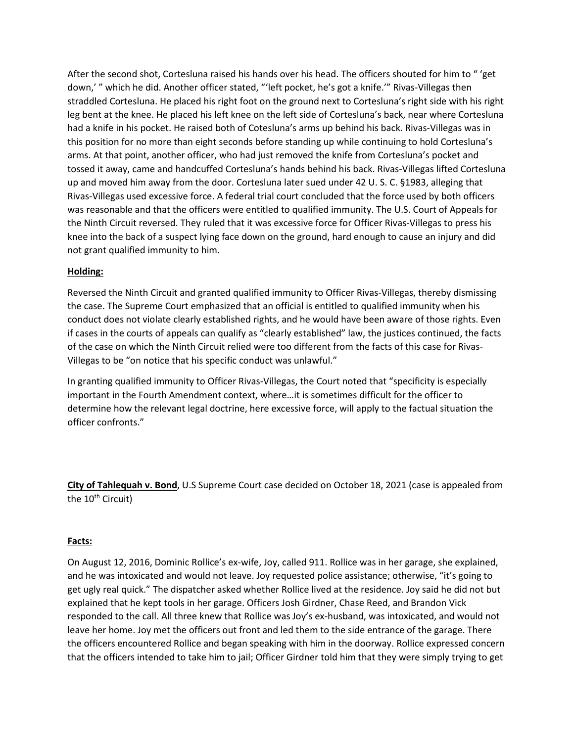After the second shot, Cortesluna raised his hands over his head. The officers shouted for him to " 'get down,' " which he did. Another officer stated, "'left pocket, he's got a knife.'" Rivas-Villegas then straddled Cortesluna. He placed his right foot on the ground next to Cortesluna's right side with his right leg bent at the knee. He placed his left knee on the left side of Cortesluna's back, near where Cortesluna had a knife in his pocket. He raised both of Cotesluna's arms up behind his back. Rivas-Villegas was in this position for no more than eight seconds before standing up while continuing to hold Cortesluna's arms. At that point, another officer, who had just removed the knife from Cortesluna's pocket and tossed it away, came and handcuffed Cortesluna's hands behind his back. Rivas-Villegas lifted Cortesluna up and moved him away from the door. Cortesluna later sued under 42 U. S. C. §1983, alleging that Rivas-Villegas used excessive force. A federal trial court concluded that the force used by both officers was reasonable and that the officers were entitled to qualified immunity. The U.S. Court of Appeals for the Ninth Circuit reversed. They ruled that it was excessive force for Officer Rivas-Villegas to press his knee into the back of a suspect lying face down on the ground, hard enough to cause an injury and did not grant qualified immunity to him.

# **Holding:**

Reversed the Ninth Circuit and granted qualified immunity to Officer Rivas-Villegas, thereby dismissing the case. The Supreme Court emphasized that an official is entitled to qualified immunity when his conduct does not violate clearly established rights, and he would have been aware of those rights. Even if cases in the courts of appeals can qualify as "clearly established" law, the justices continued, the facts of the case on which the Ninth Circuit relied were too different from the facts of this case for Rivas-Villegas to be "on notice that his specific conduct was unlawful."

In granting qualified immunity to Officer Rivas-Villegas, the Court noted that "specificity is especially important in the Fourth Amendment context, where…it is sometimes difficult for the officer to determine how the relevant legal doctrine, here excessive force, will apply to the factual situation the officer confronts."

**City of Tahlequah v. Bond**, U.S Supreme Court case decided on October 18, 2021 (case is appealed from the 10<sup>th</sup> Circuit)

### **Facts:**

On August 12, 2016, Dominic Rollice's ex-wife, Joy, called 911. Rollice was in her garage, she explained, and he was intoxicated and would not leave. Joy requested police assistance; otherwise, "it's going to get ugly real quick." The dispatcher asked whether Rollice lived at the residence. Joy said he did not but explained that he kept tools in her garage. Officers Josh Girdner, Chase Reed, and Brandon Vick responded to the call. All three knew that Rollice was Joy's ex-husband, was intoxicated, and would not leave her home. Joy met the officers out front and led them to the side entrance of the garage. There the officers encountered Rollice and began speaking with him in the doorway. Rollice expressed concern that the officers intended to take him to jail; Officer Girdner told him that they were simply trying to get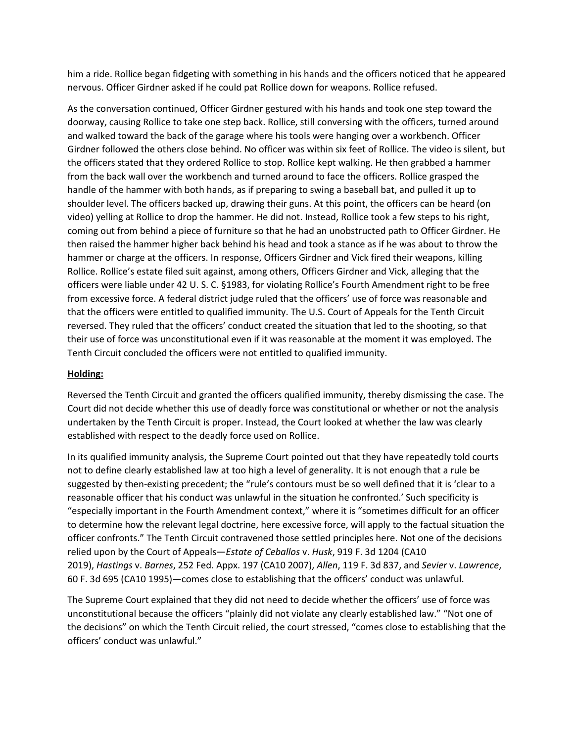him a ride. Rollice began fidgeting with something in his hands and the officers noticed that he appeared nervous. Officer Girdner asked if he could pat Rollice down for weapons. Rollice refused.

As the conversation continued, Officer Girdner gestured with his hands and took one step toward the doorway, causing Rollice to take one step back. Rollice, still conversing with the officers, turned around and walked toward the back of the garage where his tools were hanging over a workbench. Officer Girdner followed the others close behind. No officer was within six feet of Rollice. The video is silent, but the officers stated that they ordered Rollice to stop. Rollice kept walking. He then grabbed a hammer from the back wall over the workbench and turned around to face the officers. Rollice grasped the handle of the hammer with both hands, as if preparing to swing a baseball bat, and pulled it up to shoulder level. The officers backed up, drawing their guns. At this point, the officers can be heard (on video) yelling at Rollice to drop the hammer. He did not. Instead, Rollice took a few steps to his right, coming out from behind a piece of furniture so that he had an unobstructed path to Officer Girdner. He then raised the hammer higher back behind his head and took a stance as if he was about to throw the hammer or charge at the officers. In response, Officers Girdner and Vick fired their weapons, killing Rollice. Rollice's estate filed suit against, among others, Officers Girdner and Vick, alleging that the officers were liable under 42 U. S. C. §1983, for violating Rollice's Fourth Amendment right to be free from excessive force. A federal district judge ruled that the officers' use of force was reasonable and that the officers were entitled to qualified immunity. The U.S. Court of Appeals for the Tenth Circuit reversed. They ruled that the officers' conduct created the situation that led to the shooting, so that their use of force was unconstitutional even if it was reasonable at the moment it was employed. The Tenth Circuit concluded the officers were not entitled to qualified immunity.

### **Holding:**

Reversed the Tenth Circuit and granted the officers qualified immunity, thereby dismissing the case. The Court did not decide whether this use of deadly force was constitutional or whether or not the analysis undertaken by the Tenth Circuit is proper. Instead, the Court looked at whether the law was clearly established with respect to the deadly force used on Rollice.

In its qualified immunity analysis, the Supreme Court pointed out that they have repeatedly told courts not to define clearly established law at too high a level of generality. It is not enough that a rule be suggested by then-existing precedent; the "rule's contours must be so well defined that it is 'clear to a reasonable officer that his conduct was unlawful in the situation he confronted.' Such specificity is "especially important in the Fourth Amendment context," where it is "sometimes difficult for an officer to determine how the relevant legal doctrine, here excessive force, will apply to the factual situation the officer confronts." The Tenth Circuit contravened those settled principles here. Not one of the decisions relied upon by the Court of Appeals—*Estate of Ceballos* v. *Husk*, 919 F. 3d 1204 (CA10 2019), *Hastings* v. *Barnes*, 252 Fed. Appx. 197 (CA10 2007), *Allen*, 119 F. 3d 837, and *Sevier* v. *Lawrence*, 60 F. 3d 695 (CA10 1995)—comes close to establishing that the officers' conduct was unlawful.

The Supreme Court explained that they did not need to decide whether the officers' use of force was unconstitutional because the officers "plainly did not violate any clearly established law." "Not one of the decisions" on which the Tenth Circuit relied, the court stressed, "comes close to establishing that the officers' conduct was unlawful."